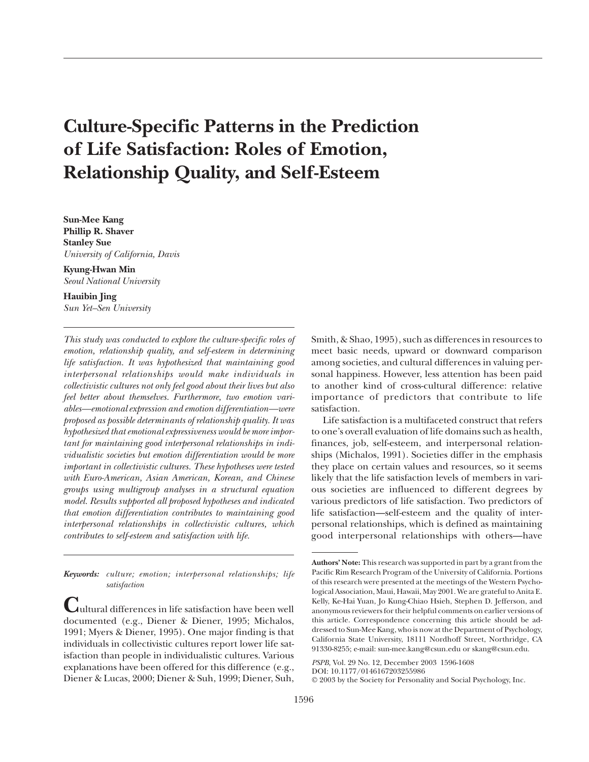# **Culture-Specific Patterns in the Prediction of Life Satisfaction: Roles of Emotion, Relationship Quality, and Self-Esteem**

**Sun-Mee Kang Phillip R. Shaver Stanley Sue** *University of California, Davis*

**Kyung-Hwan Min** *Seoul National University*

**Hauibin Jing** *Sun Yet–Sen University*

*This study was conducted to explore the culture-specific roles of emotion, relationship quality, and self-esteem in determining life satisfaction. It was hypothesized that maintaining good interpersonal relationships would make individuals in collectivistic cultures not only feel good about their lives but also feel better about themselves. Furthermore, two emotion variables—emotional expression and emotion differentiation—were proposed as possible determinants of relationship quality. It was hypothesized that emotional expressiveness would be more important for maintaining good interpersonal relationships in individualistic societies but emotion differentiation would be more important in collectivistic cultures. These hypotheses were tested with Euro-American, Asian American, Korean, and Chinese groups using multigroup analyses in a structural equation model. Results supported all proposed hypotheses and indicated that emotion differentiation contributes to maintaining good interpersonal relationships in collectivistic cultures, which contributes to self-esteem and satisfaction with life.*

*Keywords: culture; emotion; interpersonal relationships; life satisfaction*

**C**ultural differences in life satisfaction have been well documented (e.g., Diener & Diener, 1995; Michalos, 1991; Myers & Diener, 1995). One major finding is that individuals in collectivistic cultures report lower life satisfaction than people in individualistic cultures. Various explanations have been offered for this difference (e.g., Diener & Lucas, 2000; Diener & Suh, 1999; Diener, Suh,

Smith, & Shao, 1995), such as differences in resources to meet basic needs, upward or downward comparison among societies, and cultural differences in valuing personal happiness. However, less attention has been paid to another kind of cross-cultural difference: relative importance of predictors that contribute to life satisfaction.

Life satisfaction is a multifaceted construct that refers to one's overall evaluation of life domains such as health, finances, job, self-esteem, and interpersonal relationships (Michalos, 1991). Societies differ in the emphasis they place on certain values and resources, so it seems likely that the life satisfaction levels of members in various societies are influenced to different degrees by various predictors of life satisfaction. Two predictors of life satisfaction—self-esteem and the quality of interpersonal relationships, which is defined as maintaining good interpersonal relationships with others—have

*PSPB,* Vol. 29 No. 12, December 2003 1596-1608

DOI: 10.1177/0146167203255986

© 2003 by the Society for Personality and Social Psychology, Inc.

**Authors' Note:** This research was supported in part by a grant from the Pacific Rim Research Program of the University of California. Portions of this research were presented at the meetings of the Western Psychological Association, Maui, Hawaii, May 2001. We are grateful to Anita E. Kelly, Ke-Hai Yuan, Jo Kung-Chiao Hsieh, Stephen D. Jefferson, and anonymous reviewers for their helpful comments on earlier versions of this article. Correspondence concerning this article should be addressed to Sun-Mee Kang, who is now at the Department of Psychology, California State University, 18111 Nordhoff Street, Northridge, CA 91330-8255; e-mail: sun-mee.kang@csun.edu or skang@csun.edu.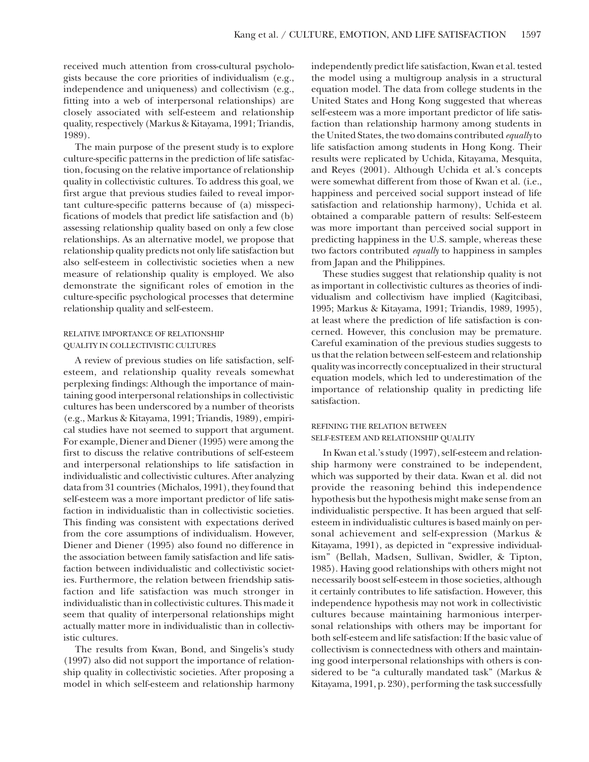received much attention from cross-cultural psychologists because the core priorities of individualism (e.g., independence and uniqueness) and collectivism (e.g., fitting into a web of interpersonal relationships) are closely associated with self-esteem and relationship quality, respectively (Markus & Kitayama, 1991; Triandis, 1989).

The main purpose of the present study is to explore culture-specific patterns in the prediction of life satisfaction, focusing on the relative importance of relationship quality in collectivistic cultures. To address this goal, we first argue that previous studies failed to reveal important culture-specific patterns because of (a) misspecifications of models that predict life satisfaction and (b) assessing relationship quality based on only a few close relationships. As an alternative model, we propose that relationship quality predicts not only life satisfaction but also self-esteem in collectivistic societies when a new measure of relationship quality is employed. We also demonstrate the significant roles of emotion in the culture-specific psychological processes that determine relationship quality and self-esteem.

# RELATIVE IMPORTANCE OF RELATIONSHIP QUALITY IN COLLECTIVISTIC CULTURES

A review of previous studies on life satisfaction, selfesteem, and relationship quality reveals somewhat perplexing findings: Although the importance of maintaining good interpersonal relationships in collectivistic cultures has been underscored by a number of theorists (e.g., Markus & Kitayama, 1991; Triandis, 1989), empirical studies have not seemed to support that argument. For example, Diener and Diener (1995) were among the first to discuss the relative contributions of self-esteem and interpersonal relationships to life satisfaction in individualistic and collectivistic cultures. After analyzing data from 31 countries (Michalos, 1991), they found that self-esteem was a more important predictor of life satisfaction in individualistic than in collectivistic societies. This finding was consistent with expectations derived from the core assumptions of individualism. However, Diener and Diener (1995) also found no difference in the association between family satisfaction and life satisfaction between individualistic and collectivistic societies. Furthermore, the relation between friendship satisfaction and life satisfaction was much stronger in individualistic than in collectivistic cultures. This made it seem that quality of interpersonal relationships might actually matter more in individualistic than in collectivistic cultures.

The results from Kwan, Bond, and Singelis's study (1997) also did not support the importance of relationship quality in collectivistic societies. After proposing a model in which self-esteem and relationship harmony

independently predict life satisfaction, Kwan et al. tested the model using a multigroup analysis in a structural equation model. The data from college students in the United States and Hong Kong suggested that whereas self-esteem was a more important predictor of life satisfaction than relationship harmony among students in the United States, the two domains contributed *equally*to life satisfaction among students in Hong Kong. Their results were replicated by Uchida, Kitayama, Mesquita, and Reyes (2001). Although Uchida et al.'s concepts were somewhat different from those of Kwan et al. (i.e., happiness and perceived social support instead of life satisfaction and relationship harmony), Uchida et al. obtained a comparable pattern of results: Self-esteem was more important than perceived social support in predicting happiness in the U.S. sample, whereas these two factors contributed *equally* to happiness in samples from Japan and the Philippines.

These studies suggest that relationship quality is not as important in collectivistic cultures as theories of individualism and collectivism have implied (Kagitcibasi, 1995; Markus & Kitayama, 1991; Triandis, 1989, 1995), at least where the prediction of life satisfaction is concerned. However, this conclusion may be premature. Careful examination of the previous studies suggests to us that the relation between self-esteem and relationship quality was incorrectly conceptualized in their structural equation models, which led to underestimation of the importance of relationship quality in predicting life satisfaction.

# REFINING THE RELATION BETWEEN SELF-ESTEEM AND RELATIONSHIP QUALITY

In Kwan et al.'s study (1997), self-esteem and relationship harmony were constrained to be independent, which was supported by their data. Kwan et al. did not provide the reasoning behind this independence hypothesis but the hypothesis might make sense from an individualistic perspective. It has been argued that selfesteem in individualistic cultures is based mainly on personal achievement and self-expression (Markus & Kitayama, 1991), as depicted in "expressive individualism" (Bellah, Madsen, Sullivan, Swidler, & Tipton, 1985). Having good relationships with others might not necessarily boost self-esteem in those societies, although it certainly contributes to life satisfaction. However, this independence hypothesis may not work in collectivistic cultures because maintaining harmonious interpersonal relationships with others may be important for both self-esteem and life satisfaction: If the basic value of collectivism is connectedness with others and maintaining good interpersonal relationships with others is considered to be "a culturally mandated task" (Markus & Kitayama, 1991, p. 230), performing the task successfully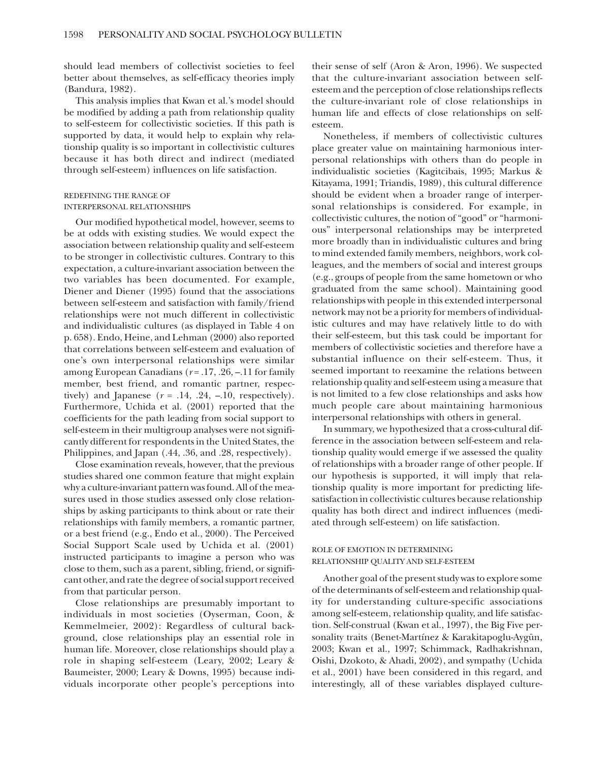should lead members of collectivist societies to feel better about themselves, as self-efficacy theories imply (Bandura, 1982).

This analysis implies that Kwan et al.'s model should be modified by adding a path from relationship quality to self-esteem for collectivistic societies. If this path is supported by data, it would help to explain why relationship quality is so important in collectivistic cultures because it has both direct and indirect (mediated through self-esteem) influences on life satisfaction.

# REDEFINING THE RANGE OF INTERPERSONAL RELATIONSHIPS

Our modified hypothetical model, however, seems to be at odds with existing studies. We would expect the association between relationship quality and self-esteem to be stronger in collectivistic cultures. Contrary to this expectation, a culture-invariant association between the two variables has been documented. For example, Diener and Diener (1995) found that the associations between self-esteem and satisfaction with family/friend relationships were not much different in collectivistic and individualistic cultures (as displayed in Table 4 on p. 658). Endo, Heine, and Lehman (2000) also reported that correlations between self-esteem and evaluation of one's own interpersonal relationships were similar among European Canadians ( $r = .17, .26, -.11$  for family member, best friend, and romantic partner, respectively) and Japanese  $(r = .14, .24, -.10, respectively)$ . Furthermore, Uchida et al. (2001) reported that the coefficients for the path leading from social support to self-esteem in their multigroup analyses were not significantly different for respondents in the United States, the Philippines, and Japan (.44, .36, and .28, respectively).

Close examination reveals, however, that the previous studies shared one common feature that might explain why a culture-invariant pattern was found. All of the measures used in those studies assessed only close relationships by asking participants to think about or rate their relationships with family members, a romantic partner, or abest friend (e.g., Endo et al., 2000). The Perceived Social Support Scale used by Uchida et al. (2001) instructed participants to imagine a person who was close to them, such as a parent, sibling, friend, or significant other, and rate the degree of social support received from that particular person.

Close relationships are presumably important to individuals in most societies (Oyserman, Coon, & Kemmelmeier, 2002): Regardless of cultural background, close relationships play an essential role in human life. Moreover, close relationships should play a role in shaping self-esteem (Leary, 2002; Leary & Baumeister, 2000; Leary & Downs, 1995) because individuals incorporate other people's perceptions into their sense of self (Aron & Aron, 1996). We suspected that the culture-invariant association between selfesteem and the perception of close relationships reflects the culture-invariant role of close relationships in human life and effects of close relationships on selfesteem.

Nonetheless, if members of collectivistic cultures place greater value on maintaining harmonious interpersonal relationships with others than do people in individualistic societies (Kagitcibais, 1995; Markus & Kitayama, 1991; Triandis, 1989), this cultural difference should be evident when a broader range of interpersonal relationships is considered. For example, in collectivistic cultures, the notion of "good" or "harmonious" interpersonal relationships may be interpreted more broadly than in individualistic cultures and bring to mind extended family members, neighbors, work colleagues, and the members of social and interest groups (e.g., groups of people from the same hometown or who graduated from the same school). Maintaining good relationships with people in this extended interpersonal network may not be a priority for members of individualistic cultures and may have relatively little to do with their self-esteem, but this task could be important for members of collectivistic societies and therefore have a substantial influence on their self-esteem. Thus, it seemed important to reexamine the relations between relationship quality and self-esteem using a measure that is not limited to a few close relationships and asks how much people care about maintaining harmonious interpersonal relationships with others in general.

In summary, we hypothesized that a cross-cultural difference in the association between self-esteem and relationship quality would emerge if we assessed the quality of relationships with a broader range of other people. If our hypothesis is supported, it will imply that relationship quality is more important for predicting lifesatisfaction in collectivistic cultures because relationship quality has both direct and indirect influences (mediated through self-esteem) on life satisfaction.

# ROLE OF EMOTION IN DETERMINING RELATIONSHIP QUALITY AND SELF-ESTEEM

Another goal of the present study was to explore some of the determinants of self-esteem and relationship quality for understanding culture-specific associations among self-esteem, relationship quality, and life satisfaction. Self-construal (Kwan et al., 1997), the Big Five personality traits (Benet-Martínez & Karakitapoglu-Aygün, 2003; Kwan et al., 1997; Schimmack, Radhakrishnan, Oishi, Dzokoto, & Ahadi, 2002), and sympathy (Uchida et al., 2001) have been considered in this regard, and interestingly, all of these variables displayed culture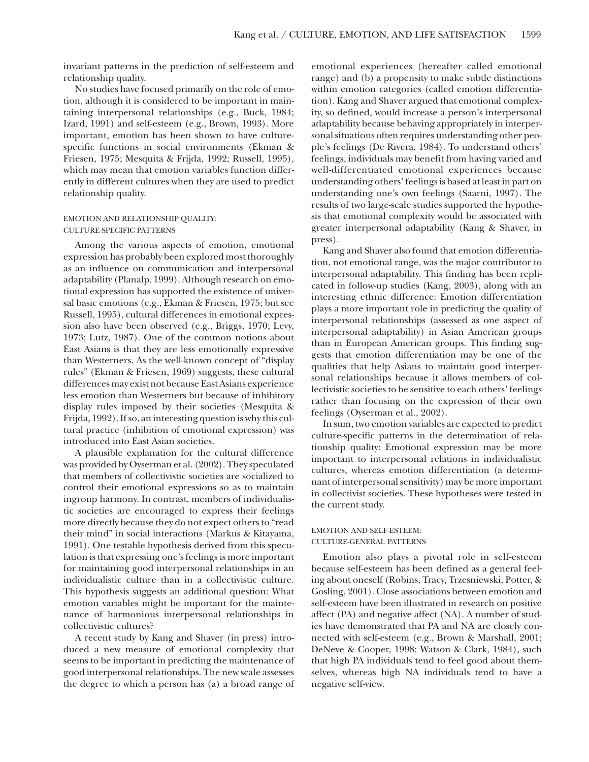invariant patterns in the prediction of self-esteem and relationship quality.

No studies have focused primarily on the role of emotion, although it is considered to be important in maintaining interpersonal relationships (e.g., Buck, 1984; Izard, 1991) and self-esteem (e.g., Brown, 1993). More important, emotion has been shown to have culturespecific functions in social environments (Ekman & Friesen, 1975; Mesquita& Frijda, 1992; Russell, 1995), which may mean that emotion variables function differently in different cultures when they are used to predict relationship quality.

# EMOTION AND RELATIONSHIP QUALITY: CULTURE-SPECIFIC PATTERNS

Among the various aspects of emotion, emotional expression has probably been explored most thoroughly as an influence on communication and interpersonal adaptability (Planalp, 1999). Although research on emotional expression has supported the existence of universal basic emotions (e.g., Ekman & Friesen, 1975; but see Russell, 1995), cultural differences in emotional expression also have been observed (e.g., Briggs, 1970; Levy, 1973; Lutz, 1987). One of the common notions about East Asians is that they are less emotionally expressive than Westerners. As the well-known concept of "display rules" (Ekman & Friesen, 1969) suggests, these cultural differences may exist not because East Asians experience less emotion than Westerners but because of inhibitory display rules imposed by their societies (Mesquita & Frijda, 1992). If so, an interesting question is why this cultural practice (inhibition of emotional expression) was introduced into East Asian societies.

A plausible explanation for the cultural difference was provided by Oyserman et al. (2002). They speculated that members of collectivistic societies are socialized to control their emotional expressions so as to maintain ingroup harmony. In contrast, members of individualistic societies are encouraged to express their feelings more directly because they do not expect others to "read their mind" in social interactions (Markus & Kitayama, 1991). One testable hypothesis derived from this speculation is that expressing one's feelings is more important for maintaining good interpersonal relationships in an individualistic culture than in a collectivistic culture. This hypothesis suggests an additional question: What emotion variables might be important for the maintenance of harmonious interpersonal relationships in collectivistic cultures?

A recent study by Kang and Shaver (in press) introduced a new measure of emotional complexity that seems to be important in predicting the maintenance of good interpersonal relationships. The new scale assesses the degree to which a person has (a) a broad range of

emotional experiences (hereafter called emotional range) and (b) a propensity to make subtle distinctions within emotion categories (called emotion differentiation). Kang and Shaver argued that emotional complexity, so defined, would increase a person's interpersonal adaptability because behaving appropriately in interpersonal situations often requires understanding other people's feelings (De Rivera, 1984). To understand others' feelings, individuals may benefit from having varied and well-differentiated emotional experiences because understanding others' feelings is based at least in part on understanding one's own feelings (Saarni, 1997). The results of two large-scale studies supported the hypothesis that emotional complexity would be associated with greater interpersonal adaptability (Kang & Shaver, in press).

Kang and Shaver also found that emotion differentiation, not emotional range, was the major contributor to interpersonal adaptability. This finding has been replicated in follow-up studies (Kang, 2003), along with an interesting ethnic difference: Emotion differentiation plays a more important role in predicting the quality of interpersonal relationships (assessed as one aspect of interpersonal adaptability) in Asian American groups than in European American groups. This finding suggests that emotion differentiation may be one of the qualities that help Asians to maintain good interpersonal relationships because it allows members of collectivistic societies to be sensitive to each others' feelings rather than focusing on the expression of their own feelings (Oyserman et al., 2002).

In sum, two emotion variables are expected to predict culture-specific patterns in the determination of relationship quality: Emotional expression may be more important to interpersonal relations in individualistic cultures, whereas emotion differentiation (a determinant of interpersonal sensitivity) may be more important in collectivist societies. These hypotheses were tested in the current study.

## EMOTION AND SELF-ESTEEM: CULTURE-GENERAL PATTERNS

Emotion also plays a pivotal role in self-esteem because self-esteem has been defined as a general feeling about oneself (Robins, Tracy, Trzesniewski, Potter, & Gosling, 2001). Close associations between emotion and self-esteem have been illustrated in research on positive affect (PA) and negative affect (NA). A number of studies have demonstrated that PA and NA are closely connected with self-esteem (e.g., Brown & Marshall, 2001; DeNeve & Cooper, 1998; Watson & Clark, 1984), such that high PA individuals tend to feel good about themselves, whereas high NA individuals tend to have a negative self-view.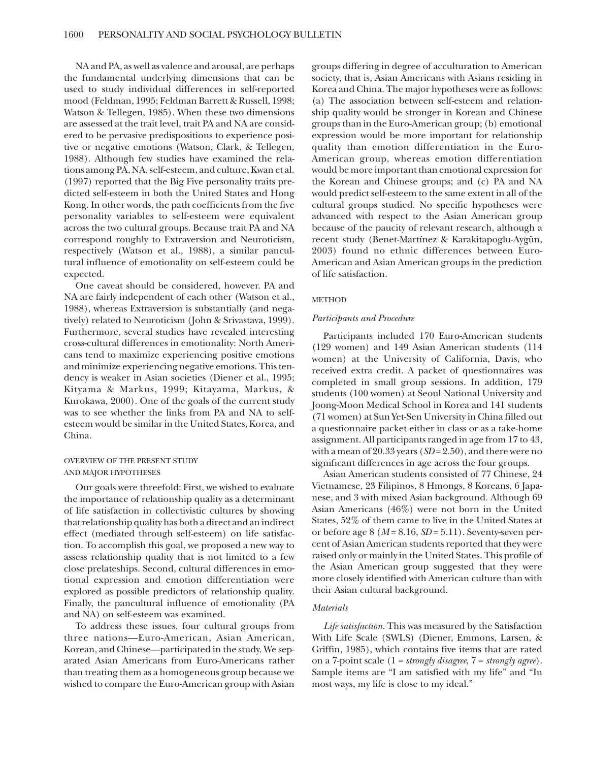NA and PA, as well as valence and arousal, are perhaps the fundamental underlying dimensions that can be used to study individual differences in self-reported mood (Feldman, 1995; Feldman Barrett & Russell, 1998; Watson & Tellegen, 1985). When these two dimensions are assessed at the trait level, trait PA and NA are considered to be pervasive predispositions to experience positive or negative emotions (Watson, Clark, & Tellegen, 1988). Although few studies have examined the relations among PA, NA, self-esteem, and culture, Kwan et al. (1997) reported that the Big Five personality traits predicted self-esteem in both the United States and Hong Kong. In other words, the path coefficients from the five personality variables to self-esteem were equivalent across the two cultural groups. Because trait PA and NA correspond roughly to Extraversion and Neuroticism, respectively (Watson et al., 1988), a similar pancultural influence of emotionality on self-esteem could be expected.

One caveat should be considered, however. PA and NA are fairly independent of each other (Watson et al., 1988), whereas Extraversion is substantially (and negatively) related to Neuroticism (John & Srivastava, 1999). Furthermore, several studies have revealed interesting cross-cultural differences in emotionality: North Americans tend to maximize experiencing positive emotions and minimize experiencing negative emotions. This tendency is weaker in Asian societies (Diener et al., 1995; Kityama & Markus, 1999; Kitayama, Markus, & Kurokawa, 2000). One of the goals of the current study was to see whether the links from PA and NA to selfesteem would be similar in the United States, Korea, and China.

## OVERVIEW OF THE PRESENT STUDY AND MAJOR HYPOTHESES

Our goals were threefold: First, we wished to evaluate the importance of relationship quality as a determinant of life satisfaction in collectivistic cultures by showing that relationship quality has both a direct and an indirect effect (mediated through self-esteem) on life satisfaction. To accomplish this goal, we proposed a new way to assess relationship quality that is not limited to a few close prelateships. Second, cultural differences in emotional expression and emotion differentiation were explored as possible predictors of relationship quality. Finally, the pancultural influence of emotionality (PA and NA) on self-esteem was examined.

To address these issues, four cultural groups from three nations—Euro-American, Asian American, Korean, and Chinese—participated in the study. We separated Asian Americans from Euro-Americans rather than treating them as a homogeneous group because we wished to compare the Euro-American group with Asian

groups differing in degree of acculturation to American society, that is, Asian Americans with Asians residing in Korea and China. The major hypotheses were as follows: (a) The association between self-esteem and relationship quality would be stronger in Korean and Chinese groups than in the Euro-American group; (b) emotional expression would be more important for relationship quality than emotion differentiation in the Euro-American group, whereas emotion differentiation would be more important than emotional expression for the Korean and Chinese groups; and (c) PA and NA would predict self-esteem to the same extent in all of the cultural groups studied. No specific hypotheses were advanced with respect to the Asian American group because of the paucity of relevant research, although a recent study (Benet-Martínez & Karakitapoglu-Aygün, 2003) found no ethnic differences between Euro-American and Asian American groups in the prediction of life satisfaction.

#### **METHOD**

#### *Participants and Procedure*

Participants included 170 Euro-American students (129 women) and 149 Asian American students (114 women) at the University of California, Davis, who received extra credit. A packet of questionnaires was completed in small group sessions. In addition, 179 students (100 women) at Seoul National University and Joong-Moon Medical School in Korea and 141 students (71 women) at Sun Yet-Sen University in China filled out a questionnaire packet either in class or as a take-home assignment. All participants ranged in age from 17 to 43, with a mean of 20.33 years (*SD* = 2.50), and there were no significant differences in age across the four groups.

Asian American students consisted of 77 Chinese, 24 Vietnamese, 23 Filipinos, 8 Hmongs, 8 Koreans, 6 Japanese, and 3 with mixed Asian background. Although 69 Asian Americans (46%) were not born in the United States, 52% of them came to live in the United States at or before age 8 (*M* = 8.16, *SD* = 5.11). Seventy-seven percent of Asian American students reported that they were raised only or mainly in the United States. This profile of the Asian American group suggested that they were more closely identified with American culture than with their Asian cultural background.

## *Materials*

*Life satisfaction*. This was measured by the Satisfaction With Life Scale (SWLS) (Diener, Emmons, Larsen, & Griffin, 1985), which contains five items that are rated on a7-point scale (1 = *strongly disagree*,7= *strongly agree*). Sample items are "I am satisfied with my life" and "In most ways, my life is close to my ideal."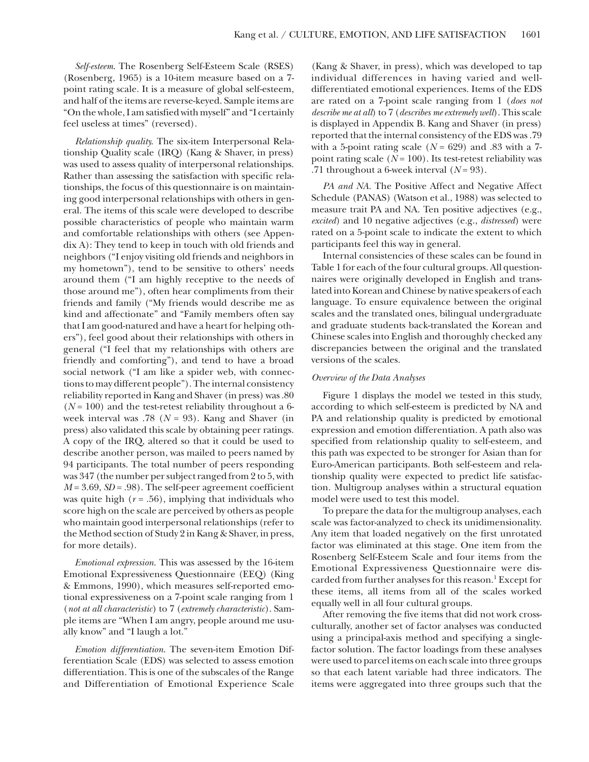*Self-esteem*. The Rosenberg Self-Esteem Scale (RSES) (Rosenberg, 1965) is a 10-item measure based on a 7 point rating scale. It is a measure of global self-esteem, and half of the items are reverse-keyed. Sample items are "On the whole, I am satisfied with myself" and "I certainly feel useless at times" (reversed).

*Relationship quality*. The six-item Interpersonal Relationship Quality scale (IRQ) (Kang & Shaver, in press) was used to assess quality of interpersonal relationships. Rather than assessing the satisfaction with specific relationships, the focus of this questionnaire is on maintaining good interpersonal relationships with others in general. The items of this scale were developed to describe possible characteristics of people who maintain warm and comfortable relationships with others (see Appendix A): They tend to keep in touch with old friends and neighbors ("I enjoy visiting old friends and neighbors in my hometown"), tend to be sensitive to others' needs around them ("I am highly receptive to the needs of those around me"), often hear compliments from their friends and family ("My friends would describe me as kind and affectionate" and "Family members often say that I am good-natured and have a heart for helping others"), feel good about their relationships with others in general ("I feel that my relationships with others are friendly and comforting"), and tend to have a broad social network ("I am like a spider web, with connections to may different people"). The internal consistency reliability reported in Kang and Shaver (in press) was .80  $(N = 100)$  and the test-retest reliability throughout a 6week interval was .78 ( $N = 93$ ). Kang and Shaver (in press) also validated this scale by obtaining peer ratings. A copy of the IRQ, altered so that it could be used to describe another person, was mailed to peers named by 94 participants. The total number of peers responding was 347 (the number per subject ranged from 2 to 5, with *M* = 3.69, *SD* = .98). The self-peer agreement coefficient was quite high  $(r = .56)$ , implying that individuals who score high on the scale are perceived by others as people who maintain good interpersonal relationships (refer to the Method section of Study 2 in Kang & Shaver, in press, for more details).

*Emotional expression*. This was assessed by the 16-item Emotional Expressiveness Questionnaire (EEQ) (King & Emmons, 1990), which measures self-reported emotional expressiveness on a 7-point scale ranging from 1 (*not at all characteristic*) to 7 (*extremely characteristic*). Sample items are "When I am angry, people around me usually know" and "I laugh a lot."

*Emotion differentiation*. The seven-item Emotion Differentiation Scale (EDS) was selected to assess emotion differentiation. This is one of the subscales of the Range and Differentiation of Emotional Experience Scale (Kang & Shaver, in press), which was developed to tap individual differences in having varied and welldifferentiated emotional experiences. Items of the EDS are rated on a 7-point scale ranging from 1 (*does not describe me at all*) to 7 (*describes me extremely well*). This scale is displayed in Appendix B. Kang and Shaver (in press) reported that the internal consistency of the EDS was .79 with a 5-point rating scale  $(N = 629)$  and .83 with a 7point rating scale  $(N = 100)$ . Its test-retest reliability was .71 throughout a 6-week interval  $(N = 93)$ .

*PA and NA*. The Positive Affect and Negative Affect Schedule (PANAS) (Watson et al., 1988) was selected to measure trait PA and NA. Ten positive adjectives (e.g., *excited*) and 10 negative adjectives (e.g., *distressed*) were rated on a 5-point scale to indicate the extent to which participants feel this way in general.

Internal consistencies of these scales can be found in Table 1 for each of the four cultural groups. All questionnaires were originally developed in English and translated into Korean and Chinese by native speakers of each language. To ensure equivalence between the original scales and the translated ones, bilingual undergraduate and graduate students back-translated the Korean and Chinese scales into English and thoroughly checked any discrepancies between the original and the translated versions of the scales.

#### *Overview of the Data Analyses*

Figure 1 displays the model we tested in this study, according to which self-esteem is predicted by NA and PA and relationship quality is predicted by emotional expression and emotion differentiation. A path also was specified from relationship quality to self-esteem, and this path was expected to be stronger for Asian than for Euro-American participants. Both self-esteem and relationship quality were expected to predict life satisfaction. Multigroup analyses within a structural equation model were used to test this model.

To prepare the data for the multigroup analyses, each scale was factor-analyzed to check its unidimensionality. Any item that loaded negatively on the first unrotated factor was eliminated at this stage. One item from the Rosenberg Self-Esteem Scale and four items from the Emotional Expressiveness Questionnaire were discarded from further analyses for this reason.<sup>1</sup> Except for these items, all items from all of the scales worked equally well in all four cultural groups.

After removing the five items that did not work crossculturally, another set of factor analyses was conducted using a principal-axis method and specifying a singlefactor solution. The factor loadings from these analyses were used to parcel items on each scale into three groups so that each latent variable had three indicators. The items were aggregated into three groups such that the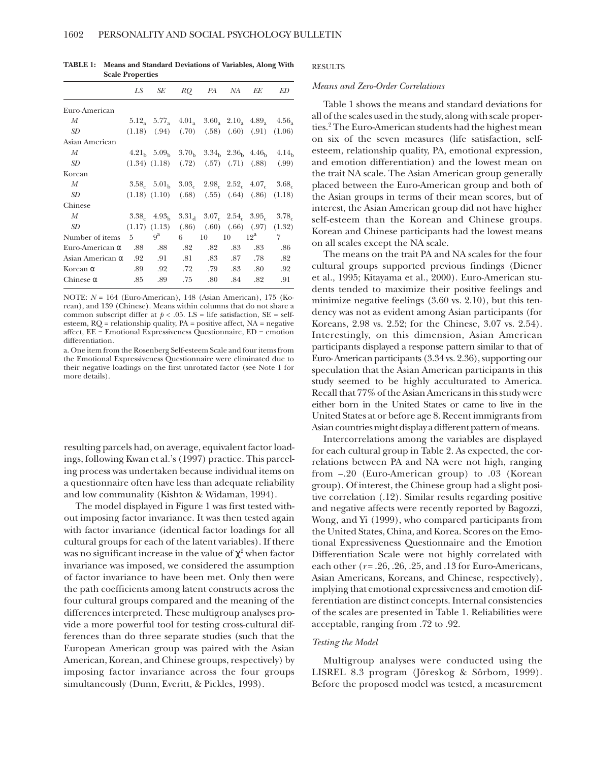|                                                                   | LS SE                                                                                                                         |  | RQ PA NA EE | ED  |
|-------------------------------------------------------------------|-------------------------------------------------------------------------------------------------------------------------------|--|-------------|-----|
| Euro-American                                                     |                                                                                                                               |  |             |     |
| М                                                                 | $5.12_{\text{a}}$ $5.77_{\text{a}}$ $4.01_{\text{a}}$ $3.60_{\text{a}}$ $2.10_{\text{a}}$ $4.89_{\text{a}}$ $4.56_{\text{a}}$ |  |             |     |
| SD.                                                               | $(1.18)$ $(.94)$ $(.70)$ $(.58)$ $(.60)$ $(.91)$ $(1.06)$                                                                     |  |             |     |
| Asian American                                                    |                                                                                                                               |  |             |     |
| М                                                                 | $4.21b$ $5.09b$ $3.70b$ $3.34b$ $2.36b$ $4.46b$ $4.14b$                                                                       |  |             |     |
| SD.                                                               | $(1.34)$ $(1.18)$ $(0.72)$ $(0.57)$ $(0.71)$ $(0.88)$ $(0.99)$                                                                |  |             |     |
| Korean                                                            |                                                                                                                               |  |             |     |
| М                                                                 | $3.58_c$ $5.01_b$ $3.03_c$ $2.98_c$ $2.52_c$ $4.07_c$ $3.68_c$                                                                |  |             |     |
| SD.                                                               | $(1.18)$ $(1.10)$ $(0.68)$ $(0.55)$ $(0.64)$ $(0.86)$ $(1.18)$                                                                |  |             |     |
| Chinese                                                           |                                                                                                                               |  |             |     |
| М                                                                 | $3.38_c$ $4.93_b$ $3.31_d$ $3.07_c$ $2.54_c$ $3.95_c$ $3.78_c$                                                                |  |             |     |
| SD.                                                               | $(1.17)$ $(1.13)$ $(0.86)$ $(0.60)$ $(0.66)$ $(0.97)$ $(1.32)$                                                                |  |             |     |
| Number of items $5 \t 9^a \t 6 \t 10 \t 10 \t 12^a \t 7$          |                                                                                                                               |  |             |     |
| Euro-American α 88 88 82 82 83 83 86                              |                                                                                                                               |  |             |     |
| Asian American $\alpha$ $.92$ $.91$ $.81$ $.83$ $.87$ $.78$ $.82$ |                                                                                                                               |  |             |     |
| .89 .92 .72 .79 .83 .80 .92<br>Korean $\alpha$                    |                                                                                                                               |  |             |     |
| Chinese $\alpha$                                                  | .85 .89 .75 .80 .84 .82                                                                                                       |  |             | .91 |

**TABLE 1: Means and Standard Deviations of Variables, Along With Scale Properties**

NOTE: *N* = 164 (Euro-American), 148 (Asian American), 175 (Korean), and 139 (Chinese). Means within columns that do not share a common subscript differ at  $p < .05$ . LS = life satisfaction, SE = selfesteem, RQ = relationship quality, PA = positive affect, NA = negative affect, EE = Emotional Expressiveness Questionnaire, ED = emotion differentiation.

a. One item from the Rosenberg Self-esteem Scale and four items from the Emotional Expressiveness Questionnaire were eliminated due to their negative loadings on the first unrotated factor (see Note 1 for more details).

resulting parcels had, on average, equivalent factor loadings, following Kwan et al.'s (1997) practice. This parceling process was undertaken because individual items on a questionnaire often have less than adequate reliability and low communality (Kishton & Widaman, 1994).

The model displayed in Figure 1 was first tested without imposing factor invariance. It was then tested again with factor invariance (identical factor loadings for all cultural groups for each of the latent variables). If there was no significant increase in the value of  $\chi^2$  when factor invariance was imposed, we considered the assumption of factor invariance to have been met. Only then were the path coefficients among latent constructs across the four cultural groups compared and the meaning of the differences interpreted. These multigroup analyses provide amore powerful tool for testing cross-cultural differences than do three separate studies (such that the European American group was paired with the Asian American, Korean, and Chinese groups, respectively) by imposing factor invariance across the four groups simultaneously (Dunn, Everitt, & Pickles, 1993).

## RESULTS

#### *Means and Zero-Order Correlations*

Table 1 shows the means and standard deviations for all of the scales used in the study, along with scale properties.<sup>2</sup> The Euro-American students had the highest mean on six of the seven measures (life satisfaction, selfesteem, relationship quality, PA, emotional expression, and emotion differentiation) and the lowest mean on the trait NA scale. The Asian American group generally placed between the Euro-American group and both of the Asian groups in terms of their mean scores, but of interest, the Asian American group did not have higher self-esteem than the Korean and Chinese groups. Korean and Chinese participants had the lowest means on all scales except the NA scale.

The means on the trait PA and NA scales for the four cultural groups supported previous findings (Diener et al., 1995; Kitayama et al., 2000). Euro-American students tended to maximize their positive feelings and minimize negative feelings (3.60 vs. 2.10), but this tendency was not as evident among Asian participants (for Koreans, 2.98 vs. 2.52; for the Chinese, 3.07 vs. 2.54). Interestingly, on this dimension, Asian American participants displayed a response pattern similar to that of Euro- American participants (3.34 vs. 2.36), supporting our speculation that the Asian American participants in this study seemed to be highly acculturated to America. Recall that 77% of the Asian Americans in this study were either born in the United States or came to live in the United States at or before age 8. Recent immigrants from Asian countries might display a different pattern of means.

Intercorrelations among the variables are displayed for each cultural group in Table 2. As expected, the correlations between PA and NA were not high, ranging from –.20 (Euro-American group) to .03 (Korean group). Of interest, the Chinese group had a slight positive correlation (.12). Similar results regarding positive and negative affects were recently reported by Bagozzi, Wong, and Yi (1999), who compared participants from the United States, China, and Korea. Scores on the Emotional Expressiveness Questionnaire and the Emotion Differentiation Scale were not highly correlated with each other (*r* = .26, .26, .25, and .13 for Euro-Americans, Asian Americans, Koreans, and Chinese, respectively), implying that emotional expressiveness and emotion differentiation are distinct concepts. Internal consistencies of the scales are presented in Table 1. Reliabilities were acceptable, ranging from .72 to .92.

## *Testing the Model*

Multigroup analyses were conducted using the LISREL 8.3 program (Jöreskog & Sörbom, 1999). Before the proposed model was tested, a measurement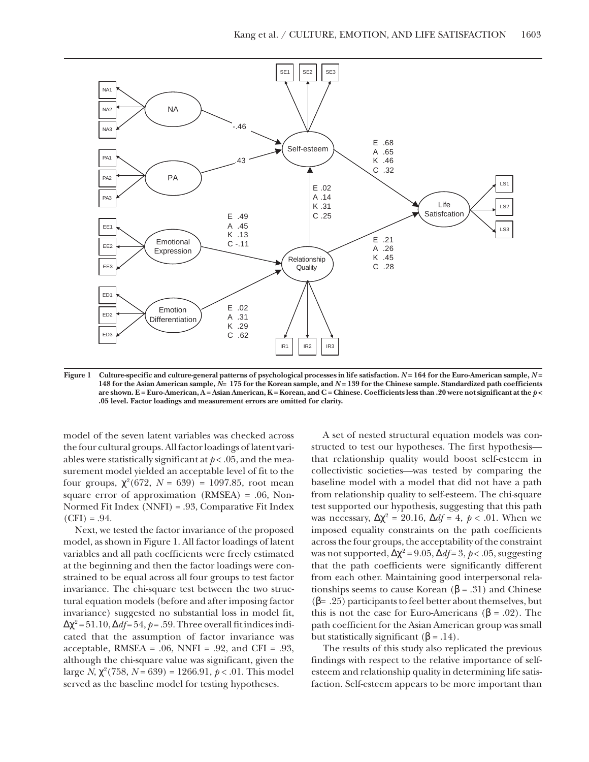

**Figure 1 Culture-specific and culture-general patterns of psychological processes in life satisfaction.** *N* **= 164 for the Euro-American sample,** *N* **= 148 for the Asian American sample,** *N***= 175 for the Korean sample, and** *N* **= 139 for the Chinese sample.Standardized path coefficients are shown.E = Euro-American, A = Asian American, K = Korean, and C = Chinese.Coefficients less than .20 were not significant at the** *p* **< .05 level. Factor loadings and measurement errors are omitted for clarity.**

model of the seven latent variables was checked across the four cultural groups. All factor loadings of latent variables were statistically significant at  $p < .05$ , and the measurement model yielded an acceptable level of fit to the four groups,  $χ²(672, N = 639) = 1097.85$ , root mean square error of approximation (RMSEA) = .06, Non-Normed Fit Index (NNFI) = .93, Comparative Fit Index  $(CFI) = .94.$ 

Next, we tested the factor invariance of the proposed model, as shown in Figure 1. All factor loadings of latent variables and all path coefficients were freely estimated at the beginning and then the factor loadings were constrained to be equal across all four groups to test factor invariance. The chi-square test between the two structural equation models (before and after imposing factor invariance) suggested no substantial loss in model fit,  $\Delta \chi^2$  = 51.10,  $\Delta df$  = 54, *p* = .59. Three overall fit indices indicated that the assumption of factor invariance was acceptable,  $RMSEA = .06$ ,  $NNFI = .92$ , and  $CFI = .93$ , although the chi-square value was significant, given the large *N*,  $\chi^2$ (758, *N* = 639) = 1266.91, *p* < .01. This model served as the baseline model for testing hypotheses.

A set of nested structural equation models was constructed to test our hypotheses. The first hypothesis that relationship quality would boost self-esteem in collectivistic societies—was tested by comparing the baseline model with a model that did not have a path from relationship quality to self-esteem. The chi-square test supported our hypothesis, suggesting that this path was necessary,  $\Delta \chi^2 = 20.16$ ,  $\Delta df = 4$ ,  $p < .01$ . When we imposed equality constraints on the path coefficients across the four groups, the acceptability of the constraint was not supported,  $\Delta \chi^2 = 9.05$ ,  $\Delta df = 3$ ,  $p < .05$ , suggesting that the path coefficients were significantly different from each other. Maintaining good interpersonal relationships seems to cause Korean ( $\beta$  = .31) and Chinese (β= .25) participants to feel better about themselves, but this is not the case for Euro-Americans (β = .02). The path coefficient for the Asian American group was small but statistically significant (β = .14).

The results of this study also replicated the previous findings with respect to the relative importance of selfesteem and relationship quality in determining life satisfaction. Self-esteem appears to be more important than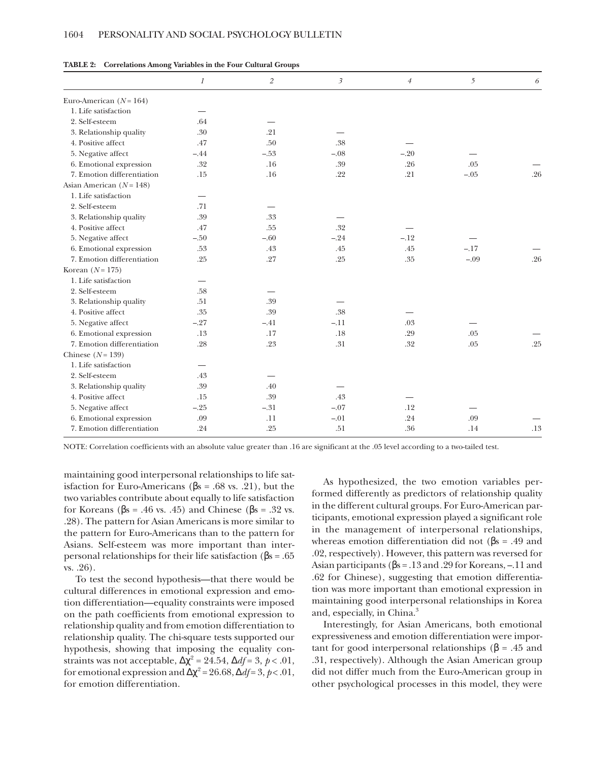|                              | $\boldsymbol{I}$ | $\sqrt{2}$ | $\overline{\mathfrak{Z}}$ | $\overline{4}$ | 5      | 6   |
|------------------------------|------------------|------------|---------------------------|----------------|--------|-----|
| Euro-American ( $N = 164$ )  |                  |            |                           |                |        |     |
| 1. Life satisfaction         |                  |            |                           |                |        |     |
| 2. Self-esteem               | .64              |            |                           |                |        |     |
| 3. Relationship quality      | .30              | .21        |                           |                |        |     |
| 4. Positive affect           | .47              | .50        | .38                       |                |        |     |
| 5. Negative affect           | $-.44$           | $-.53$     | $-.08$                    | $-.20$         |        |     |
| 6. Emotional expression      | .32              | .16        | .39                       | .26            | .05    |     |
| 7. Emotion differentiation   | .15              | .16        | .22                       | .21            | $-.05$ | .26 |
| Asian American ( $N = 148$ ) |                  |            |                           |                |        |     |
| 1. Life satisfaction         |                  |            |                           |                |        |     |
| 2. Self-esteem               | .71              |            |                           |                |        |     |
| 3. Relationship quality      | .39              | .33        |                           |                |        |     |
| 4. Positive affect           | .47              | .55        | .32                       |                |        |     |
| 5. Negative affect           | $-.50$           | $-.60$     | $-.24$                    | $-.12$         |        |     |
| 6. Emotional expression      | .53              | .43        | .45                       | .45            | $-.17$ |     |
| 7. Emotion differentiation   | .25              | .27        | .25                       | .35            | $-.09$ | .26 |
| Korean $(N=175)$             |                  |            |                           |                |        |     |
| 1. Life satisfaction         |                  |            |                           |                |        |     |
| 2. Self-esteem               | .58              |            |                           |                |        |     |
| 3. Relationship quality      | .51              | .39        |                           |                |        |     |
| 4. Positive affect           | .35              | .39        | .38                       |                |        |     |
| 5. Negative affect           | $-.27$           | $-.41$     | $-.11$                    | .03            |        |     |
| 6. Emotional expression      | .13              | .17        | .18                       | .29            | .05    |     |
| 7. Emotion differentiation   | .28              | .23        | .31                       | .32            | .05    | .25 |
| Chinese $(N=139)$            |                  |            |                           |                |        |     |
| 1. Life satisfaction         |                  |            |                           |                |        |     |
| 2. Self-esteem               | .43              |            |                           |                |        |     |
| 3. Relationship quality      | .39              | .40        |                           |                |        |     |
| 4. Positive affect           | .15              | .39        | .43                       |                |        |     |
| 5. Negative affect           | $-.25$           | $-.31$     | $-.07$                    | .12            |        |     |
| 6. Emotional expression      | .09              | .11        | $-.01$                    | .24            | .09    |     |
| 7. Emotion differentiation   | .24              | .25        | .51                       | .36            | .14    | .13 |

**TABLE 2: Correlations Among Variables in the Four Cultural Groups**

NOTE: Correlation coefficients with an absolute value greater than .16 are significant at the .05 level according to a two-tailed test.

maintaining good interpersonal relationships to life satisfaction for Euro-Americans ( $β$ s = .68 vs. .21), but the two variables contribute about equally to life satisfaction for Koreans ( $\beta$ s = .46 vs. .45) and Chinese ( $\beta$ s = .32 vs. .28). The pattern for Asian Americans is more similar to the pattern for Euro-Americans than to the pattern for Asians. Self-esteem was more important than interpersonal relationships for their life satisfaction (βs = .65 vs. .26).

To test the second hypothesis—that there would be cultural differences in emotional expression and emotion differentiation—equality constraints were imposed on the path coefficients from emotional expression to relationship quality and from emotion differentiation to relationship quality. The chi-square tests supported our hypothesis, showing that imposing the equality constraints was not acceptable,  $\Delta \chi^2 = 24.54$ ,  $\Delta df = 3$ ,  $p < .01$ , for emotional expression and  $\Delta \chi^2 = 26.68$ ,  $\Delta df = 3$ ,  $p < .01$ , for emotion differentiation.

As hypothesized, the two emotion variables performed differently as predictors of relationship quality in the different cultural groups. For Euro-American participants, emotional expression played a significant role in the management of interpersonal relationships, whereas emotion differentiation did not ( $\beta$ s = .49 and .02, respectively). However, this pattern was reversed for Asian participants ( $\beta$ s = .13 and .29 for Koreans, -.11 and .62 for Chinese), suggesting that emotion differentiation was more important than emotional expression in maintaining good interpersonal relationships in Korea and, especially, in China.<sup>3</sup>

Interestingly, for Asian Americans, both emotional expressiveness and emotion differentiation were important for good interpersonal relationships (β = .45 and .31, respectively). Although the Asian American group did not differ much from the Euro-American group in other psychological processes in this model, they were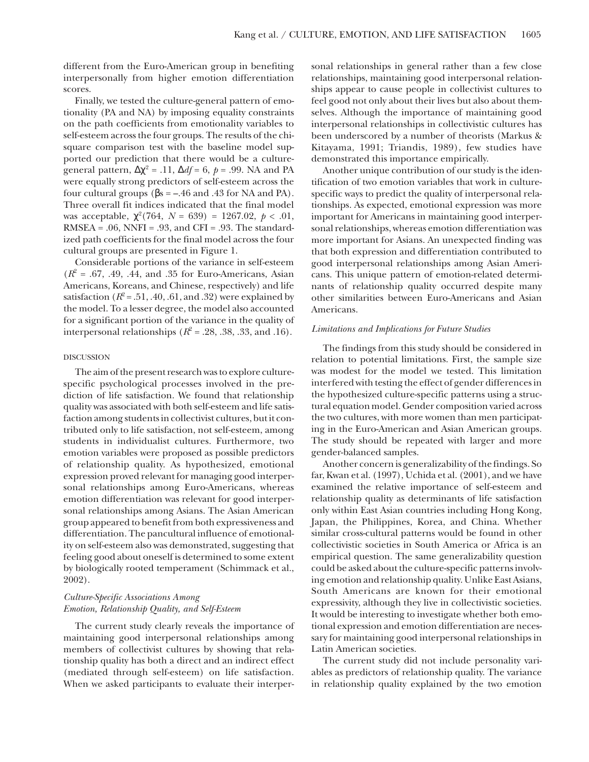different from the Euro-American group in benefiting interpersonally from higher emotion differentiation scores.

Finally, we tested the culture-general pattern of emotionality (PA and NA) by imposing equality constraints on the path coefficients from emotionality variables to self-esteem across the four groups. The results of the chisquare comparison test with the baseline model supported our prediction that there would be a culturegeneral pattern,  $\Delta \chi^2 = .11$ ,  $\Delta df = 6$ ,  $p = .99$ . NA and PA were equally strong predictors of self-esteem across the four cultural groups ( $βs = -.46$  and .43 for NA and PA). Three overall fit indices indicated that the final model was acceptable,  $\chi^2(764, N = 639) = 1267.02, p < .01,$  $RMSEA = .06$ ,  $NNFI = .93$ , and  $CFI = .93$ . The standardized path coefficients for the final model across the four cultural groups are presented in Figure 1.

Considerable portions of the variance in self-esteem  $(R^2 = .67, .49, .44,$  and  $.35$  for Euro-Americans, Asian Americans, Koreans, and Chinese, respectively) and life satisfaction  $(R^2 = .51, .40, .61,$  and  $.32)$  were explained by the model. To a lesser degree, the model also accounted for a significant portion of the variance in the quality of interpersonal relationships  $(R^2 = .28, .38, .33, \text{ and } .16)$ .

#### DISCUSSION

The aim of the present research was to explore culturespecific psychological processes involved in the prediction of life satisfaction. We found that relationship quality was associated with both self-esteem and life satisfaction among students in collectivist cultures, but it contributed only to life satisfaction, not self-esteem, among students in individualist cultures. Furthermore, two emotion variables were proposed as possible predictors of relationship quality. As hypothesized, emotional expression proved relevant for managing good interpersonal relationships among Euro-Americans, whereas emotion differentiation was relevant for good interpersonal relationships among Asians. The Asian American group appeared to benefit from both expressiveness and differentiation. The pancultural influence of emotionality on self-esteem also was demonstrated, suggesting that feeling good about oneself is determined to some extent by biologically rooted temperament (Schimmack et al., 2002).

# *Culture-Specific Associations Among Emotion, Relationship Quality, and Self-Esteem*

The current study clearly reveals the importance of maintaining good interpersonal relationships among members of collectivist cultures by showing that relationship quality has both a direct and an indirect effect (mediated through self-esteem) on life satisfaction. When we asked participants to evaluate their interper-

sonal relationships in general rather than a few close relationships, maintaining good interpersonal relationships appear to cause people in collectivist cultures to feel good not only about their lives but also about themselves. Although the importance of maintaining good interpersonal relationships in collectivistic cultures has been underscored by a number of theorists (Markus & Kitayama, 1991; Triandis, 1989), few studies have demonstrated this importance empirically.

Another unique contribution of our study is the identification of two emotion variables that work in culturespecific ways to predict the quality of interpersonal relationships. As expected, emotional expression was more important for Americans in maintaining good interpersonal relationships, whereas emotion differentiation was more important for Asians. An unexpected finding was that both expression and differentiation contributed to good interpersonal relationships among Asian Americans. This unique pattern of emotion-related determinants of relationship quality occurred despite many other similarities between Euro-Americans and Asian Americans.

#### *Limitations and Implications for Future Studies*

The findings from this study should be considered in relation to potential limitations. First, the sample size was modest for the model we tested. This limitation interfered with testing the effect of gender differences in the hypothesized culture-specific patterns using a structural equation model. Gender composition varied across the two cultures, with more women than men participating in the Euro-American and Asian American groups. The study should be repeated with larger and more gender-balanced samples.

Another concern is generalizability of the findings. So far, Kwan et al. (1997), Uchida et al. (2001), and we have examined the relative importance of self-esteem and relationship quality as determinants of life satisfaction only within East Asian countries including Hong Kong, Japan, the Philippines, Korea, and China. Whether similar cross-cultural patterns would be found in other collectivistic societies in South America or Africa is an empirical question. The same generalizability question could be asked about the culture-specific patterns involving emotion and relationship quality. Unlike East Asians, South Americans are known for their emotional expressivity, although they live in collectivistic societies. It would be interesting to investigate whether both emotional expression and emotion differentiation are necessary for maintaining good interpersonal relationships in Latin American societies.

The current study did not include personality variables as predictors of relationship quality. The variance in relationship quality explained by the two emotion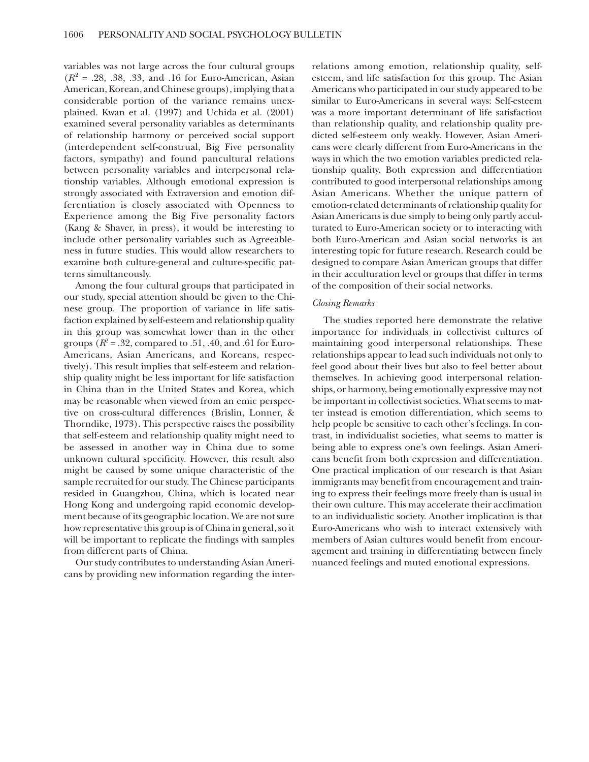variables was not large across the four cultural groups  $(R^2 = .28, .38, .33,$  and  $.16$  for Euro-American, Asian American, Korean, and Chinese groups), implying that a considerable portion of the variance remains unexplained. Kwan et al. (1997) and Uchida et al. (2001) examined several personality variables as determinants of relationship harmony or perceived social support (interdependent self-construal, Big Five personality factors, sympathy) and found pancultural relations between personality variables and interpersonal relationship variables. Although emotional expression is strongly associated with Extraversion and emotion differentiation is closely associated with Openness to Experience among the Big Five personality factors (Kang & Shaver, in press), it would be interesting to include other personality variables such as Agreeableness in future studies. This would allow researchers to examine both culture-general and culture-specific patterns simultaneously.

Among the four cultural groups that participated in our study, special attention should be given to the Chinese group. The proportion of variance in life satisfaction explained by self-esteem and relationship quality in this group was somewhat lower than in the other groups ( $R^2$  = .32, compared to .51, .40, and .61 for Euro-Americans, Asian Americans, and Koreans, respectively). This result implies that self-esteem and relationship quality might be less important for life satisfaction in China than in the United States and Korea, which may be reasonable when viewed from an emic perspective on cross-cultural differences (Brislin, Lonner, & Thorndike, 1973). This perspective raises the possibility that self-esteem and relationship quality might need to be assessed in another way in China due to some unknown cultural specificity. However, this result also might be caused by some unique characteristic of the sample recruited for our study. The Chinese participants resided in Guangzhou, China, which is located near Hong Kong and undergoing rapid economic development because of its geographic location. We are not sure how representative this group is of China in general, so it will be important to replicate the findings with samples from different parts of China.

Our study contributes to understanding Asian Americans by providing new information regarding the interrelations among emotion, relationship quality, selfesteem, and life satisfaction for this group. The Asian Americans who participated in our study appeared to be similar to Euro-Americans in several ways: Self-esteem was a more important determinant of life satisfaction than relationship quality, and relationship quality predicted self-esteem only weakly. However, Asian Americans were clearly different from Euro-Americans in the ways in which the two emotion variables predicted relationship quality. Both expression and differentiation contributed to good interpersonal relationships among Asian Americans. Whether the unique pattern of emotion-related determinants of relationship quality for Asian Americans is due simply to being only partly acculturated to Euro-American society or to interacting with both Euro-American and Asian social networks is an interesting topic for future research. Research could be designed to compare Asian American groups that differ in their acculturation level or groups that differ in terms of the composition of their social networks.

#### *Closing Remarks*

The studies reported here demonstrate the relative importance for individuals in collectivist cultures of maintaining good interpersonal relationships. These relationships appear to lead such individuals not only to feel good about their lives but also to feel better about themselves. In achieving good interpersonal relationships, or harmony, being emotionally expressive may not be important in collectivist societies. What seems to matter instead is emotion differentiation, which seems to help people be sensitive to each other's feelings. In contrast, in individualist societies, what seems to matter is being able to express one's own feelings. Asian Americans benefit from both expression and differentiation. One practical implication of our research is that Asian immigrants may benefit from encouragement and training to express their feelings more freely than is usual in their own culture. This may accelerate their acclimation to an individualistic society. Another implication is that Euro-Americans who wish to interact extensively with members of Asian cultures would benefit from encouragement and training in differentiating between finely nuanced feelings and muted emotional expressions.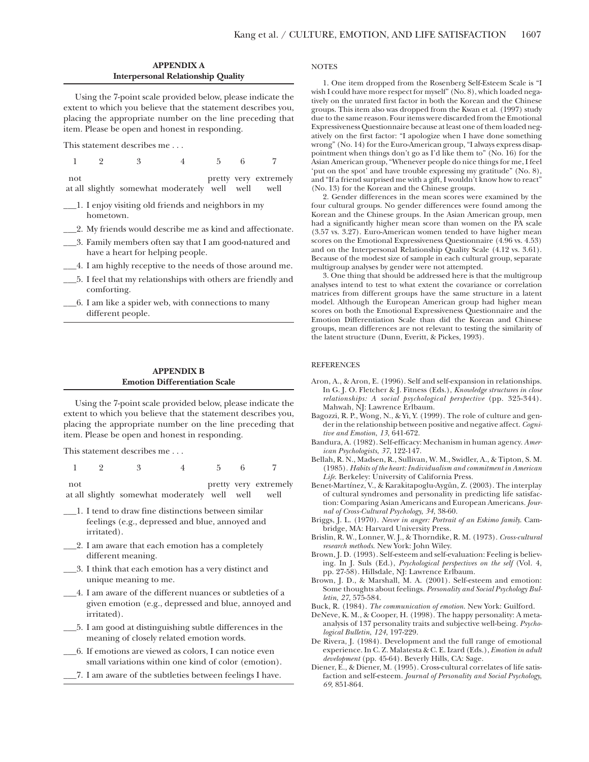## **APPENDIX A Interpersonal Relationship Quality**

Using the 7-point scale provided below, please indicate the extent to which you believe that the statement describes you, placing the appropriate number on the line preceding that item. Please be open and honest in responding.

This statement describes me . . .

|      |  | 4                                                  | -5 -6 |                       |
|------|--|----------------------------------------------------|-------|-----------------------|
| not. |  |                                                    |       | pretty very extremely |
|      |  | at all slightly somewhat moderately well well well |       |                       |

\_\_\_1. I enjoy visiting old friends and neighbors in my hometown.

\_\_\_2. My friends would describe me as kind and affectionate.

- \_\_\_3. Family members often say that I am good-natured and have a heart for helping people.
- \_\_\_4. I am highly receptive to the needs of those around me.
- \_\_\_5. I feel that my relationships with others are friendly and comforting.
- \_\_\_6. I am like a spider web, with connections to many different people.

## **APPENDIX B Emotion Differentiation Scale**

Using the 7-point scale provided below, please indicate the extent to which you believe that the statement describes you, placing the appropriate number on the line preceding that item. Please be open and honest in responding.

This statement describes me . . .

1 2 3 4 56 7 not pretty very extremely

at all slightly somewhat moderately well well well

- \_\_\_1. I tend to draw fine distinctions between similar feelings (e.g., depressed and blue, annoyed and irritated).
- \_\_\_2. I am aware that each emotion has a completely different meaning.
- \_\_\_3. I think that each emotion has a very distinct and unique meaning to me.
- \_\_\_4. I am aware of the different nuances or subtleties of a given emotion (e.g., depressed and blue, annoyed and irritated).
- \_\_\_5. I am good at distinguishing subtle differences in the meaning of closely related emotion words.
- \_\_\_6. If emotions are viewed as colors, I can notice even small variations within one kind of color (emotion).
- \_\_\_7. I am aware of the subtleties between feelings I have.

## **NOTES**

1. One item dropped from the Rosenberg Self-Esteem Scale is "I wish I could have more respect for myself" (No. 8), which loaded negatively on the unrated first factor in both the Korean and the Chinese groups. This item also was dropped from the Kwan et al. (1997) study due to the same reason. Four items were discarded from the Emotional Expressiveness Questionnaire because at least one of them loaded negatively on the first factor: "I apologize when I have done something wrong" (No. 14) for the Euro-American group, "I always express disappointment when things don't go as I'd like them to" (No. 16) for the Asian American group, "Whenever people do nice things for me, I feel 'put on the spot' and have trouble expressing my gratitude" (No. 8), and "If afriend surprised me with agift, I wouldn't know how to react" (No. 13) for the Korean and the Chinese groups.

2. Gender differences in the mean scores were examined by the four cultural groups. No gender differences were found among the Korean and the Chinese groups. In the Asian American group, men had a significantly higher mean score than women on the PA scale (3.57 vs. 3.27). Euro-American women tended to have higher mean scores on the Emotional Expressiveness Questionnaire (4.96 vs. 4.53) and on the Interpersonal Relationship Quality Scale (4.12 vs. 3.61). Because of the modest size of sample in each cultural group, separate multigroup analyses by gender were not attempted.

3. One thing that should be addressed here is that the multigroup analyses intend to test to what extent the covariance or correlation matrices from different groups have the same structure in a latent model. Although the European American group had higher mean scores on both the Emotional Expressiveness Questionnaire and the Emotion Differentiation Scale than did the Korean and Chinese groups, mean differences are not relevant to testing the similarity of the latent structure (Dunn, Everitt, & Pickes, 1993).

#### **REFERENCES**

- Aron, A., & Aron, E. (1996). Self and self-expansion in relationships. In G. J. O. Fletcher & J. Fitness (Eds.), *Knowledge structures in close relationships: A social psychological perspective* (pp. 325-344). Mahwah, NJ: Lawrence Erlbaum.
- Bagozzi, R. P., Wong, N., & Yi, Y. (1999). The role of culture and gender in the relationship between positive and negative affect. *Cognitive and Emotion*, *13*, 641-672.
- Bandura, A. (1982). Self-efficacy: Mechanism in human agency. *American Psychologists*, *37*, 122-147.
- Bellah, R. N., Madsen, R., Sullivan, W. M., Swidler, A., & Tipton, S. M. (1985). *Habits of the heart: Individualism and commitment in American Life*. Berkeley: University of California Press.
- Benet-Martínez, V., & Karakitapoglu-Aygün, Z. (2003). The interplay of cultural syndromes and personality in predicting life satisfaction: Comparing Asian Americans and European Americans. *Journal of Cross-Cultural Psychology*, *34*, 38-60.
- Briggs, J. L. (1970). *Never in anger: Portrait of an Eskimo family*. Cambridge, MA: Harvard University Press.
- Brislin, R. W., Lonner, W. J., & Thorndike, R. M. (1973). *Cross-cultural research methods*. New York: John Wiley.
- Brown, J. D. (1993). Self-esteem and self-evaluation: Feeling is believing. In J. Suls (Ed.), *Psychological perspectives on the self* (Vol. 4, pp. 27-58). Hillsdale, NJ: Lawrence Erlbaum.
- Brown, J. D., & Marshall, M. A. (2001). Self-esteem and emotion: Some thoughts about feelings. *Personality and Social Psychology Bulletin*, *27*, 575-584.
- Buck, R. (1984). *The communication of emotion*. New York: Guilford.
- DeNeve, K. M., & Cooper, H. (1998). The happy personality: A metaanalysis of 137 personality traits and subjective well-being. *Psychological Bulletin*, *124*, 197-229.
- De Rivera, J. (1984). Development and the full range of emotional experience. In C. Z. Malatesta & C. E. Izard (Eds.), *Emotion in adult development* (pp. 45-64). Beverly Hills, CA: Sage.
- Diener, E., & Diener, M. (1995). Cross-cultural correlates of life satisfaction and self-esteem. *Journal of Personality and Social Psychology*, *69*, 851-864.